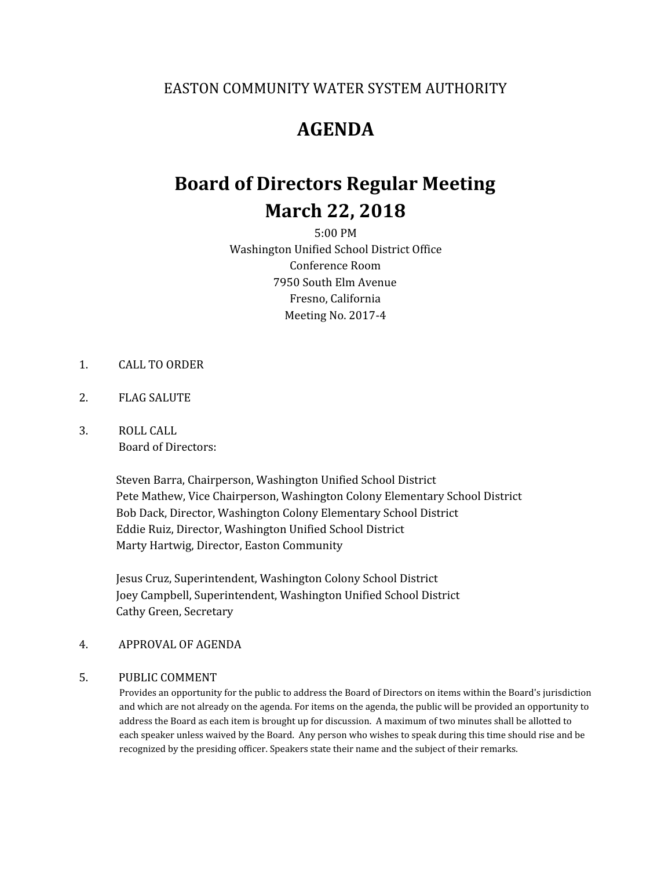### EASTON COMMUNITY WATER SYSTEM AUTHORITY

## **AGENDA**

# **Board of Directors Regular Meeting March 22, 2018**

5:00 PM Washington Unified School District Office Conference Room 7950 South Elm Avenue Fresno, California Meeting No. 2017-4

- 1. CALL TO ORDER
- 2. FLAG SALUTE
- 3. ROLL CALL Board of Directors:

Steven Barra, Chairperson, Washington Unified School District Pete Mathew, Vice Chairperson, Washington Colony Elementary School District Bob Dack, Director, Washington Colony Elementary School District Eddie Ruiz, Director, Washington Unified School District Marty Hartwig, Director, Easton Community

Jesus Cruz, Superintendent, Washington Colony School District Joey Campbell, Superintendent, Washington Unified School District Cathy Green, Secretary

#### 4. APPROVAL OF AGENDA

### 5. PUBLIC COMMENT

Provides an opportunity for the public to address the Board of Directors on items within the Board's jurisdiction and which are not already on the agenda. For items on the agenda, the public will be provided an opportunity to address the Board as each item is brought up for discussion. A maximum of two minutes shall be allotted to each speaker unless waived by the Board. Any person who wishes to speak during this time should rise and be recognized by the presiding officer. Speakers state their name and the subject of their remarks.